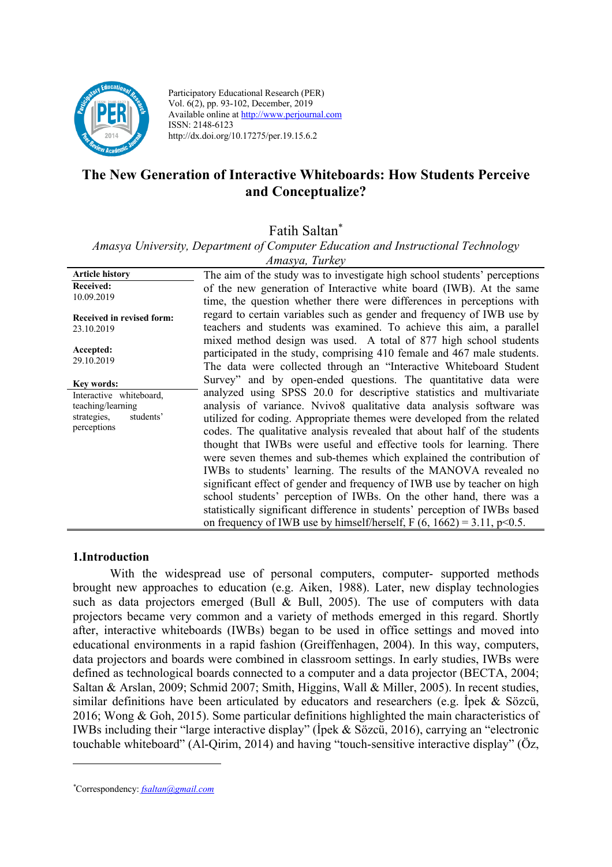

Participatory Educational Research (PER) Vol. 6(2), pp. 93-102, December, 2019 Available online at http://www.perjournal.com ISSN: 2148-6123 http://dx.doi.org/10.17275/per.19.15.6.2

# **The New Generation of Interactive Whiteboards: How Students Perceive and Conceptualize?**

Fatih Saltan\*

*Amasya University, Department of Computer Education and Instructional Technology* 

*Amasya, Turkey*

| <b>Article history</b>                                                                  | The aim of the study was to investigate high school students' perceptions                                                                                                                                                                                                                                                                                                                                                                                                                                                                                                                                                                                                                                                                                                                                                              |
|-----------------------------------------------------------------------------------------|----------------------------------------------------------------------------------------------------------------------------------------------------------------------------------------------------------------------------------------------------------------------------------------------------------------------------------------------------------------------------------------------------------------------------------------------------------------------------------------------------------------------------------------------------------------------------------------------------------------------------------------------------------------------------------------------------------------------------------------------------------------------------------------------------------------------------------------|
| Received:<br>10.09.2019                                                                 | of the new generation of Interactive white board (IWB). At the same<br>time, the question whether there were differences in perceptions with                                                                                                                                                                                                                                                                                                                                                                                                                                                                                                                                                                                                                                                                                           |
| Received in revised form:<br>23.10.2019                                                 | regard to certain variables such as gender and frequency of IWB use by<br>teachers and students was examined. To achieve this aim, a parallel<br>mixed method design was used. A total of 877 high school students                                                                                                                                                                                                                                                                                                                                                                                                                                                                                                                                                                                                                     |
| Accepted:<br>29.10.2019                                                                 | participated in the study, comprising 410 female and 467 male students.<br>The data were collected through an "Interactive Whiteboard Student                                                                                                                                                                                                                                                                                                                                                                                                                                                                                                                                                                                                                                                                                          |
| Key words:                                                                              | Survey" and by open-ended questions. The quantitative data were                                                                                                                                                                                                                                                                                                                                                                                                                                                                                                                                                                                                                                                                                                                                                                        |
| Interactive whiteboard,<br>teaching/learning<br>strategies,<br>students'<br>perceptions | analyzed using SPSS 20.0 for descriptive statistics and multivariate<br>analysis of variance. Nvivo8 qualitative data analysis software was<br>utilized for coding. Appropriate themes were developed from the related<br>codes. The qualitative analysis revealed that about half of the students<br>thought that IWBs were useful and effective tools for learning. There<br>were seven themes and sub-themes which explained the contribution of<br>IWBs to students' learning. The results of the MANOVA revealed no<br>significant effect of gender and frequency of IWB use by teacher on high<br>school students' perception of IWBs. On the other hand, there was a<br>statistically significant difference in students' perception of IWBs based<br>on frequency of IWB use by himself/herself, F $(6, 1662) = 3.11$ , p<0.5. |

# **1.Introduction**

With the widespread use of personal computers, computer- supported methods brought new approaches to education (e.g. Aiken, 1988). Later, new display technologies such as data projectors emerged (Bull & Bull, 2005). The use of computers with data projectors became very common and a variety of methods emerged in this regard. Shortly after, interactive whiteboards (IWBs) began to be used in office settings and moved into educational environments in a rapid fashion (Greiffenhagen, 2004). In this way, computers, data projectors and boards were combined in classroom settings. In early studies, IWBs were defined as technological boards connected to a computer and a data projector (BECTA, 2004; Saltan & Arslan, 2009; Schmid 2007; Smith, Higgins, Wall & Miller, 2005). In recent studies, similar definitions have been articulated by educators and researchers (e.g. İpek & Sözcü, 2016; Wong & Goh, 2015). Some particular definitions highlighted the main characteristics of IWBs including their "large interactive display" (İpek & Sözcü, 2016), carrying an "electronic touchable whiteboard" (Al-Qirim, 2014) and having "touch-sensitive interactive display" (Öz,

*<sup>\*</sup>* Correspondency: *fsaltan@gmail.com*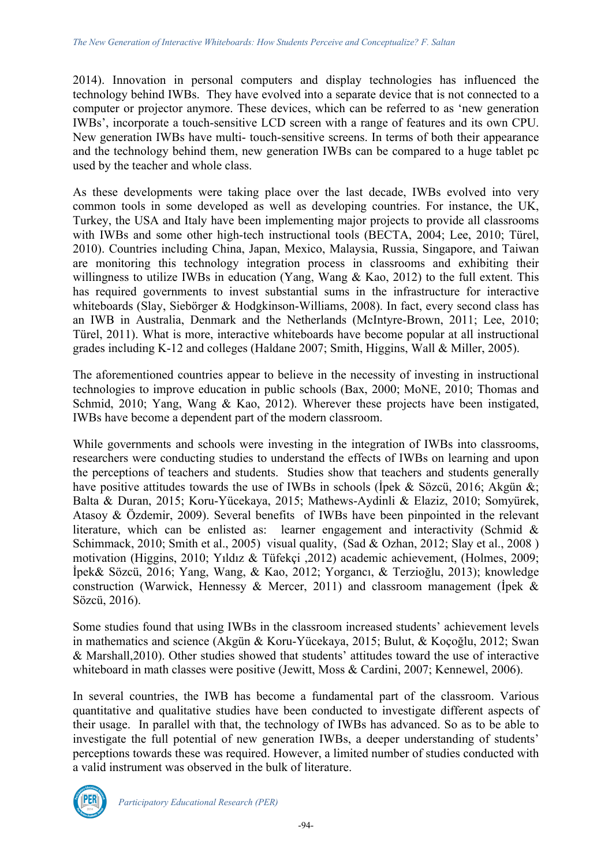2014). Innovation in personal computers and display technologies has influenced the technology behind IWBs. They have evolved into a separate device that is not connected to a computer or projector anymore. These devices, which can be referred to as 'new generation IWBs', incorporate a touch-sensitive LCD screen with a range of features and its own CPU. New generation IWBs have multi- touch-sensitive screens. In terms of both their appearance and the technology behind them, new generation IWBs can be compared to a huge tablet pc used by the teacher and whole class.

As these developments were taking place over the last decade, IWBs evolved into very common tools in some developed as well as developing countries. For instance, the UK, Turkey, the USA and Italy have been implementing major projects to provide all classrooms with IWBs and some other high-tech instructional tools (BECTA, 2004; Lee, 2010; Türel, 2010). Countries including China, Japan, Mexico, Malaysia, Russia, Singapore, and Taiwan are monitoring this technology integration process in classrooms and exhibiting their willingness to utilize IWBs in education (Yang, Wang & Kao, 2012) to the full extent. This has required governments to invest substantial sums in the infrastructure for interactive whiteboards (Slay, Siebörger & Hodgkinson-Williams, 2008). In fact, every second class has an IWB in Australia, Denmark and the Netherlands (McIntyre-Brown, 2011; Lee, 2010; Türel, 2011). What is more, interactive whiteboards have become popular at all instructional grades including K-12 and colleges (Haldane 2007; Smith, Higgins, Wall & Miller, 2005).

The aforementioned countries appear to believe in the necessity of investing in instructional technologies to improve education in public schools (Bax, 2000; MoNE, 2010; Thomas and Schmid, 2010; Yang, Wang & Kao, 2012). Wherever these projects have been instigated, IWBs have become a dependent part of the modern classroom.

While governments and schools were investing in the integration of IWBs into classrooms, researchers were conducting studies to understand the effects of IWBs on learning and upon the perceptions of teachers and students. Studies show that teachers and students generally have positive attitudes towards the use of IWBs in schools (Ipek & Sözcü, 2016; Akgün &; Balta & Duran, 2015; Koru-Yücekaya, 2015; Mathews-Aydinli & Elaziz, 2010; Somyürek, Atasoy & Özdemir, 2009). Several benefits of IWBs have been pinpointed in the relevant literature, which can be enlisted as: learner engagement and interactivity (Schmid  $\&$ Schimmack, 2010; Smith et al., 2005) visual quality, (Sad & Ozhan, 2012; Slay et al., 2008) motivation (Higgins, 2010; Yıldız & Tüfekçi ,2012) academic achievement, (Holmes, 2009; İpek& Sözcü, 2016; Yang, Wang, & Kao, 2012; Yorgancı, & Terzioğlu, 2013); knowledge construction (Warwick, Hennessy & Mercer, 2011) and classroom management (İpek & Sözcü, 2016).

Some studies found that using IWBs in the classroom increased students' achievement levels in mathematics and science (Akgün & Koru-Yücekaya, 2015; Bulut, & Koçoğlu, 2012; Swan & Marshall,2010). Other studies showed that students' attitudes toward the use of interactive whiteboard in math classes were positive (Jewitt, Moss & Cardini, 2007; Kennewel, 2006).

In several countries, the IWB has become a fundamental part of the classroom. Various quantitative and qualitative studies have been conducted to investigate different aspects of their usage. In parallel with that, the technology of IWBs has advanced. So as to be able to investigate the full potential of new generation IWBs, a deeper understanding of students' perceptions towards these was required. However, a limited number of studies conducted with a valid instrument was observed in the bulk of literature.

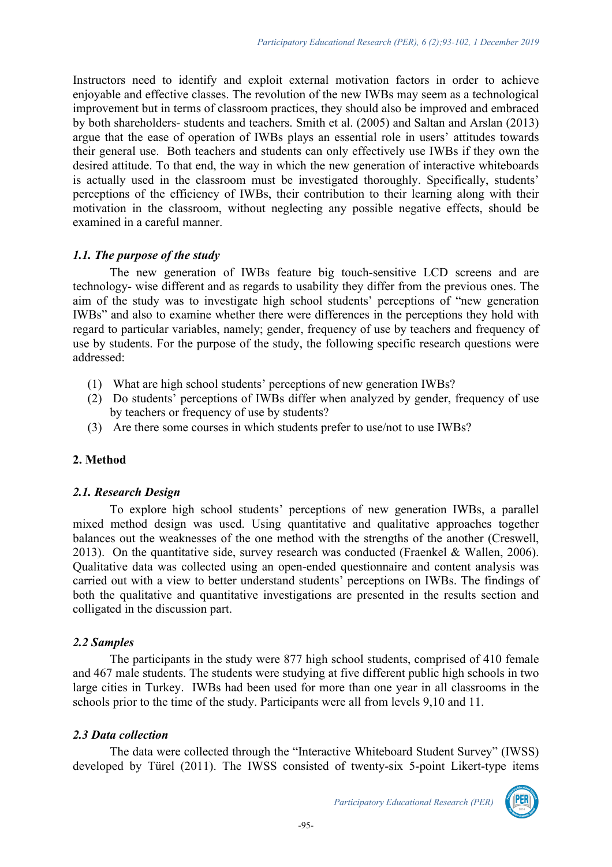Instructors need to identify and exploit external motivation factors in order to achieve enjoyable and effective classes. The revolution of the new IWBs may seem as a technological improvement but in terms of classroom practices, they should also be improved and embraced by both shareholders- students and teachers. Smith et al. (2005) and Saltan and Arslan (2013) argue that the ease of operation of IWBs plays an essential role in users' attitudes towards their general use. Both teachers and students can only effectively use IWBs if they own the desired attitude. To that end, the way in which the new generation of interactive whiteboards is actually used in the classroom must be investigated thoroughly. Specifically, students' perceptions of the efficiency of IWBs, their contribution to their learning along with their motivation in the classroom, without neglecting any possible negative effects, should be examined in a careful manner.

# *1.1. The purpose of the study*

The new generation of IWBs feature big touch-sensitive LCD screens and are technology- wise different and as regards to usability they differ from the previous ones. The aim of the study was to investigate high school students' perceptions of "new generation IWBs" and also to examine whether there were differences in the perceptions they hold with regard to particular variables, namely; gender, frequency of use by teachers and frequency of use by students. For the purpose of the study, the following specific research questions were addressed:

- (1) What are high school students' perceptions of new generation IWBs?
- (2) Do students' perceptions of IWBs differ when analyzed by gender, frequency of use by teachers or frequency of use by students?
- (3) Are there some courses in which students prefer to use/not to use IWBs?

# **2. Method**

# *2.1. Research Design*

To explore high school students' perceptions of new generation IWBs, a parallel mixed method design was used. Using quantitative and qualitative approaches together balances out the weaknesses of the one method with the strengths of the another (Creswell, 2013). On the quantitative side, survey research was conducted (Fraenkel & Wallen, 2006). Qualitative data was collected using an open-ended questionnaire and content analysis was carried out with a view to better understand students' perceptions on IWBs. The findings of both the qualitative and quantitative investigations are presented in the results section and colligated in the discussion part.

# *2.2 Samples*

The participants in the study were 877 high school students, comprised of 410 female and 467 male students. The students were studying at five different public high schools in two large cities in Turkey. IWBs had been used for more than one year in all classrooms in the schools prior to the time of the study. Participants were all from levels 9,10 and 11.

# *2.3 Data collection*

The data were collected through the "Interactive Whiteboard Student Survey" (IWSS) developed by Türel (2011). The IWSS consisted of twenty-six 5-point Likert-type items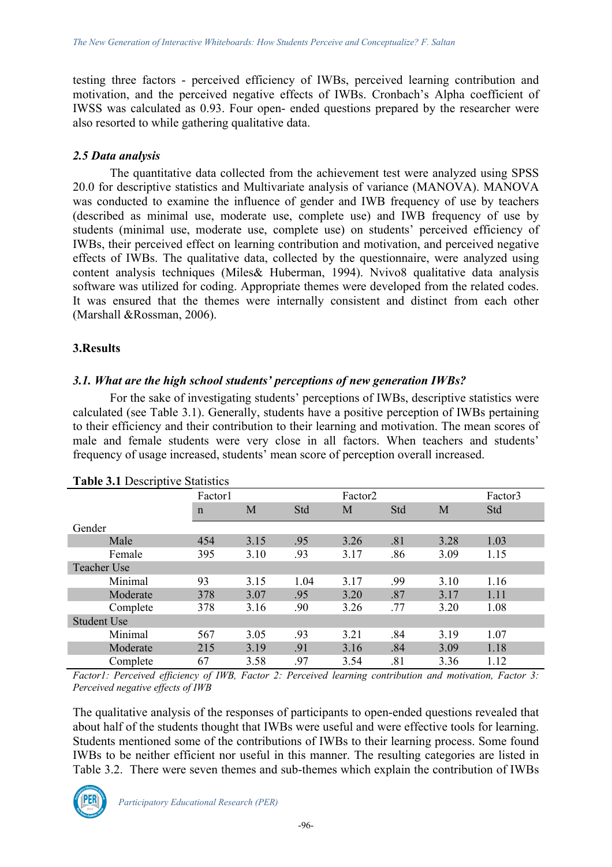testing three factors - perceived efficiency of IWBs, perceived learning contribution and motivation, and the perceived negative effects of IWBs. Cronbach's Alpha coefficient of IWSS was calculated as 0.93. Four open- ended questions prepared by the researcher were also resorted to while gathering qualitative data.

## *2.5 Data analysis*

The quantitative data collected from the achievement test were analyzed using SPSS 20.0 for descriptive statistics and Multivariate analysis of variance (MANOVA). MANOVA was conducted to examine the influence of gender and IWB frequency of use by teachers (described as minimal use, moderate use, complete use) and IWB frequency of use by students (minimal use, moderate use, complete use) on students' perceived efficiency of IWBs, their perceived effect on learning contribution and motivation, and perceived negative effects of IWBs. The qualitative data, collected by the questionnaire, were analyzed using content analysis techniques (Miles& Huberman, 1994). Nvivo8 qualitative data analysis software was utilized for coding. Appropriate themes were developed from the related codes. It was ensured that the themes were internally consistent and distinct from each other (Marshall &Rossman, 2006).

## **3.Results**

## *3.1. What are the high school students' perceptions of new generation IWBs?*

For the sake of investigating students' perceptions of IWBs, descriptive statistics were calculated (see Table 3.1). Generally, students have a positive perception of IWBs pertaining to their efficiency and their contribution to their learning and motivation. The mean scores of male and female students were very close in all factors. When teachers and students' frequency of usage increased, students' mean score of perception overall increased.

|                    | Factor1     |      |      | Factor <sub>2</sub> |     |      | Factor3 |
|--------------------|-------------|------|------|---------------------|-----|------|---------|
|                    | $\mathbf n$ | M    | Std  | M                   | Std | M    | Std     |
| Gender             |             |      |      |                     |     |      |         |
| Male               | 454         | 3.15 | .95  | 3.26                | .81 | 3.28 | 1.03    |
| Female             | 395         | 3.10 | .93  | 3.17                | .86 | 3.09 | 1.15    |
| Teacher Use        |             |      |      |                     |     |      |         |
| Minimal            | 93          | 3.15 | 1.04 | 3.17                | .99 | 3.10 | 1.16    |
| Moderate           | 378         | 3.07 | .95  | 3.20                | .87 | 3.17 | 1.11    |
| Complete           | 378         | 3.16 | .90  | 3.26                | .77 | 3.20 | 1.08    |
| <b>Student Use</b> |             |      |      |                     |     |      |         |
| Minimal            | 567         | 3.05 | .93  | 3.21                | .84 | 3.19 | 1.07    |
| Moderate           | 215         | 3.19 | .91  | 3.16                | .84 | 3.09 | 1.18    |
| Complete           | 67          | 3.58 | .97  | 3.54                | .81 | 3.36 | 1.12    |

#### **Table 3.1** Descriptive Statistics

*Factor1: Perceived efficiency of IWB, Factor 2: Perceived learning contribution and motivation, Factor 3: Perceived negative effects of IWB* 

The qualitative analysis of the responses of participants to open-ended questions revealed that about half of the students thought that IWBs were useful and were effective tools for learning. Students mentioned some of the contributions of IWBs to their learning process. Some found IWBs to be neither efficient nor useful in this manner. The resulting categories are listed in Table 3.2. There were seven themes and sub-themes which explain the contribution of IWBs

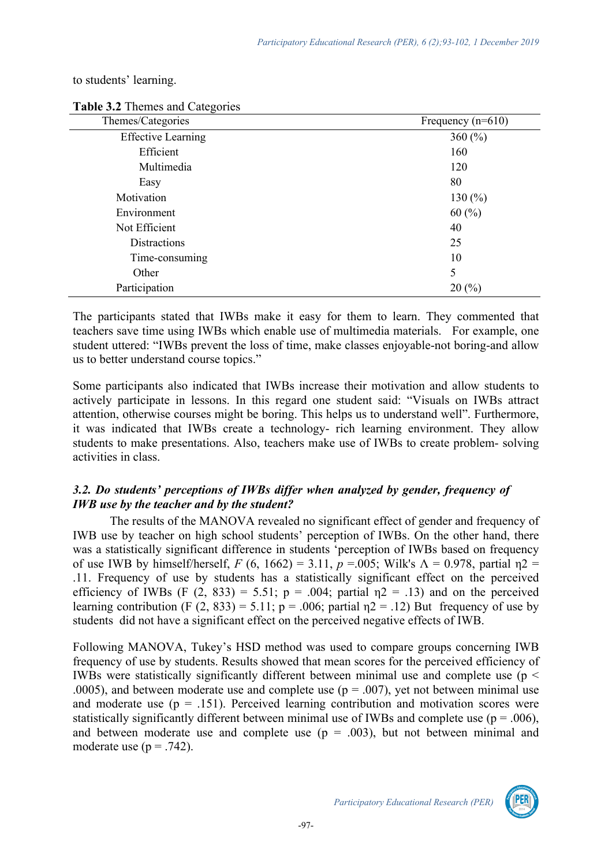to students' learning.

| Themes/Categories         | Frequency $(n=610)$ |  |  |
|---------------------------|---------------------|--|--|
| <b>Effective Learning</b> | 360 $(\% )$         |  |  |
| Efficient                 | 160                 |  |  |
| Multimedia                | 120                 |  |  |
| Easy                      | 80                  |  |  |
| Motivation                | 130 $(\% )$         |  |  |
| Environment               | $60\,(%)$           |  |  |
| Not Efficient             | 40                  |  |  |
| <b>Distractions</b>       | 25                  |  |  |
| Time-consuming            | 10                  |  |  |
| Other                     | 5                   |  |  |
| Participation             | 20(%)               |  |  |

#### **Table 3.2** Themes and Categories

The participants stated that IWBs make it easy for them to learn. They commented that teachers save time using IWBs which enable use of multimedia materials. For example, one student uttered: "IWBs prevent the loss of time, make classes enjoyable-not boring-and allow us to better understand course topics."

Some participants also indicated that IWBs increase their motivation and allow students to actively participate in lessons. In this regard one student said: "Visuals on IWBs attract attention, otherwise courses might be boring. This helps us to understand well". Furthermore, it was indicated that IWBs create a technology- rich learning environment. They allow students to make presentations. Also, teachers make use of IWBs to create problem- solving activities in class.

## *3.2. Do students' perceptions of IWBs differ when analyzed by gender, frequency of IWB use by the teacher and by the student?*

The results of the MANOVA revealed no significant effect of gender and frequency of IWB use by teacher on high school students' perception of IWBs. On the other hand, there was a statistically significant difference in students 'perception of IWBs based on frequency of use IWB by himself/herself, *F* (6, 1662) = 3.11, *p* = 0.05; Wilk's Λ = 0.978, partial η2 = .11. Frequency of use by students has a statistically significant effect on the perceived efficiency of IWBs (F  $(2, 833) = 5.51$ ; p = .004; partial  $n2 = .13$ ) and on the perceived learning contribution (F (2, 833) = 5.11; p = .006; partial  $\eta$ 2 = .12) But frequency of use by students did not have a significant effect on the perceived negative effects of IWB.

Following MANOVA, Tukey's HSD method was used to compare groups concerning IWB frequency of use by students. Results showed that mean scores for the perceived efficiency of IWBs were statistically significantly different between minimal use and complete use ( $p <$ .0005), and between moderate use and complete use ( $p = .007$ ), yet not between minimal use and moderate use  $(p = .151)$ . Perceived learning contribution and motivation scores were statistically significantly different between minimal use of IWBs and complete use ( $p = .006$ ), and between moderate use and complete use  $(p = .003)$ , but not between minimal and moderate use  $(p = .742)$ .

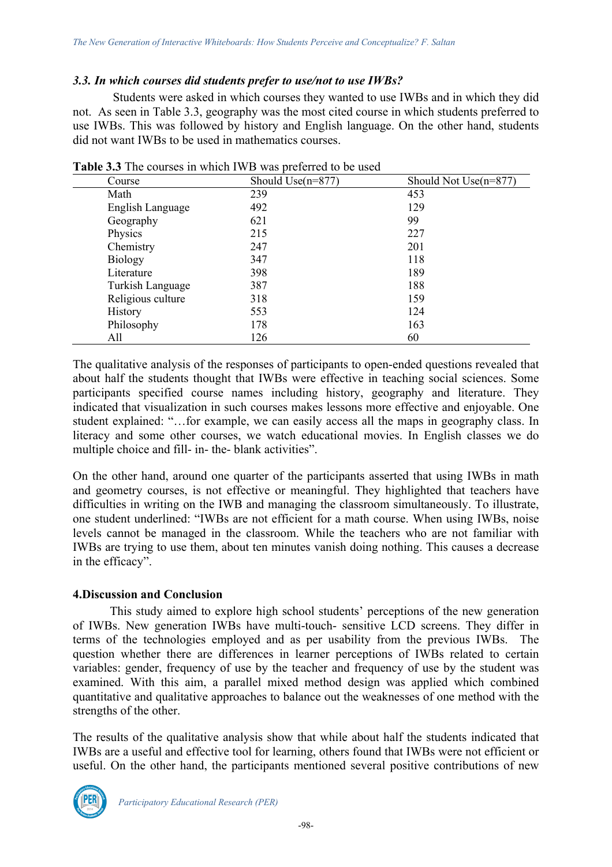#### *3.3. In which courses did students prefer to use/not to use IWBs?*

Students were asked in which courses they wanted to use IWBs and in which they did not. As seen in Table 3.3, geography was the most cited course in which students preferred to use IWBs. This was followed by history and English language. On the other hand, students did not want IWBs to be used in mathematics courses.

| Course            | Should $Use(n=877)$ | Should Not Use $(n=877)$ |
|-------------------|---------------------|--------------------------|
| Math              | 239                 | 453                      |
| English Language  | 492                 | 129                      |
| Geography         | 621                 | 99                       |
| Physics           | 215                 | 227                      |
| Chemistry         | 247                 | 201                      |
| <b>Biology</b>    | 347                 | 118                      |
| Literature        | 398                 | 189                      |
| Turkish Language  | 387                 | 188                      |
| Religious culture | 318                 | 159                      |
| <b>History</b>    | 553                 | 124                      |
| Philosophy        | 178                 | 163                      |
| All               | 126                 | 60                       |

**Table 3.3** The courses in which IWB was preferred to be used

The qualitative analysis of the responses of participants to open-ended questions revealed that about half the students thought that IWBs were effective in teaching social sciences. Some participants specified course names including history, geography and literature. They indicated that visualization in such courses makes lessons more effective and enjoyable. One student explained: "…for example, we can easily access all the maps in geography class. In literacy and some other courses, we watch educational movies. In English classes we do multiple choice and fill- in- the- blank activities".

On the other hand, around one quarter of the participants asserted that using IWBs in math and geometry courses, is not effective or meaningful. They highlighted that teachers have difficulties in writing on the IWB and managing the classroom simultaneously. To illustrate, one student underlined: "IWBs are not efficient for a math course. When using IWBs, noise levels cannot be managed in the classroom. While the teachers who are not familiar with IWBs are trying to use them, about ten minutes vanish doing nothing. This causes a decrease in the efficacy".

#### **4.Discussion and Conclusion**

This study aimed to explore high school students' perceptions of the new generation of IWBs. New generation IWBs have multi-touch- sensitive LCD screens. They differ in terms of the technologies employed and as per usability from the previous IWBs. The question whether there are differences in learner perceptions of IWBs related to certain variables: gender, frequency of use by the teacher and frequency of use by the student was examined. With this aim, a parallel mixed method design was applied which combined quantitative and qualitative approaches to balance out the weaknesses of one method with the strengths of the other.

The results of the qualitative analysis show that while about half the students indicated that IWBs are a useful and effective tool for learning, others found that IWBs were not efficient or useful. On the other hand, the participants mentioned several positive contributions of new

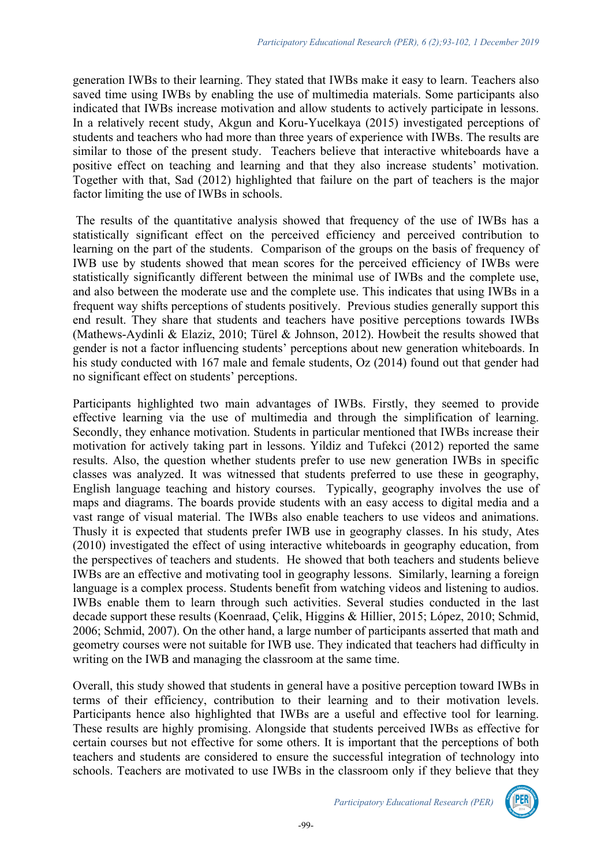generation IWBs to their learning. They stated that IWBs make it easy to learn. Teachers also saved time using IWBs by enabling the use of multimedia materials. Some participants also indicated that IWBs increase motivation and allow students to actively participate in lessons. In a relatively recent study, Akgun and Koru-Yucelkaya (2015) investigated perceptions of students and teachers who had more than three years of experience with IWBs. The results are similar to those of the present study. Teachers believe that interactive whiteboards have a positive effect on teaching and learning and that they also increase students' motivation. Together with that, Sad (2012) highlighted that failure on the part of teachers is the major factor limiting the use of IWBs in schools.

The results of the quantitative analysis showed that frequency of the use of IWBs has a statistically significant effect on the perceived efficiency and perceived contribution to learning on the part of the students. Comparison of the groups on the basis of frequency of IWB use by students showed that mean scores for the perceived efficiency of IWBs were statistically significantly different between the minimal use of IWBs and the complete use, and also between the moderate use and the complete use. This indicates that using IWBs in a frequent way shifts perceptions of students positively. Previous studies generally support this end result. They share that students and teachers have positive perceptions towards IWBs (Mathews-Aydinli & Elaziz, 2010; Türel & Johnson, 2012). Howbeit the results showed that gender is not a factor influencing students' perceptions about new generation whiteboards. In his study conducted with 167 male and female students, Oz (2014) found out that gender had no significant effect on students' perceptions.

Participants highlighted two main advantages of IWBs. Firstly, they seemed to provide effective learning via the use of multimedia and through the simplification of learning. Secondly, they enhance motivation. Students in particular mentioned that IWBs increase their motivation for actively taking part in lessons. Yildiz and Tufekci (2012) reported the same results. Also, the question whether students prefer to use new generation IWBs in specific classes was analyzed. It was witnessed that students preferred to use these in geography, English language teaching and history courses. Typically, geography involves the use of maps and diagrams. The boards provide students with an easy access to digital media and a vast range of visual material. The IWBs also enable teachers to use videos and animations. Thusly it is expected that students prefer IWB use in geography classes. In his study, Ates (2010) investigated the effect of using interactive whiteboards in geography education, from the perspectives of teachers and students. He showed that both teachers and students believe IWBs are an effective and motivating tool in geography lessons. Similarly, learning a foreign language is a complex process. Students benefit from watching videos and listening to audios. IWBs enable them to learn through such activities. Several studies conducted in the last decade support these results (Koenraad, Çelik, Higgins & Hillier, 2015; López, 2010; Schmid, 2006; Schmid, 2007). On the other hand, a large number of participants asserted that math and geometry courses were not suitable for IWB use. They indicated that teachers had difficulty in writing on the IWB and managing the classroom at the same time.

Overall, this study showed that students in general have a positive perception toward IWBs in terms of their efficiency, contribution to their learning and to their motivation levels. Participants hence also highlighted that IWBs are a useful and effective tool for learning. These results are highly promising. Alongside that students perceived IWBs as effective for certain courses but not effective for some others. It is important that the perceptions of both teachers and students are considered to ensure the successful integration of technology into schools. Teachers are motivated to use IWBs in the classroom only if they believe that they

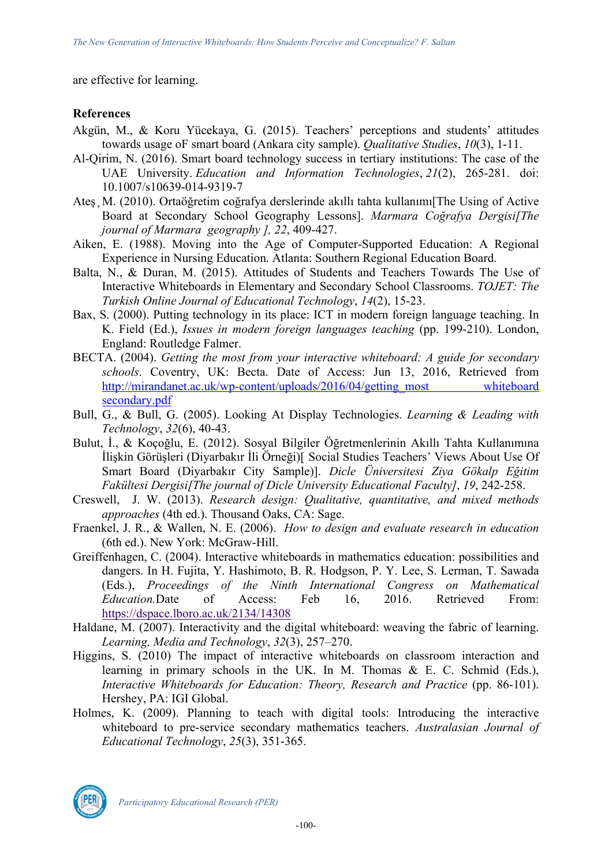are effective for learning.

# **References**

- Akgün, M., & Koru Yücekaya, G. (2015). Teachers' perceptions and students' attitudes towards usage oF smart board (Ankara city sample). *Qualitative Studies*, *10*(3), 1-11.
- Al-Qirim, N. (2016). Smart board technology success in tertiary institutions: The case of the UAE University. *Education and Information Technologies*, *21*(2), 265-281. doi: 10.1007/s10639-014-9319-7
- Ateş ̧M. (2010). Ortaöğretim coğrafya derslerinde akıllı tahta kullanımı[The Using of Active Board at Secondary School Geography Lessons]. *Marmara Coğrafya Dergisi[The journal of Marmara geography ], 22*, 409-427.
- Aiken, E. (1988). Moving into the Age of Computer-Supported Education: A Regional Experience in Nursing Education. Atlanta: Southern Regional Education Board.
- Balta, N., & Duran, M. (2015). Attitudes of Students and Teachers Towards The Use of Interactive Whiteboards in Elementary and Secondary School Classrooms. *TOJET: The Turkish Online Journal of Educational Technology*, *14*(2), 15-23.
- Bax, S. (2000). Putting technology in its place: ICT in modern foreign language teaching. In K. Field (Ed.), *Issues in modern foreign languages teaching* (pp. 199-210). London, England: Routledge Falmer.
- BECTA. (2004). *Getting the most from your interactive whiteboard: A guide for secondary schools*. Coventry, UK: Becta. Date of Access: Jun 13, 2016, Retrieved from http://mirandanet.ac.uk/wp-content/uploads/2016/04/getting\_most whiteboard secondary.pdf
- Bull, G., & Bull, G. (2005). Looking At Display Technologies. *Learning & Leading with Technology*, *32*(6), 40-43.
- Bulut, İ., & Koçoğlu, E. (2012). Sosyal Bilgiler Öğretmenlerinin Akıllı Tahta Kullanımına İlişkin Görüşleri (Diyarbakır İli Örneği)[ Social Studies Teachers' Views About Use Of Smart Board (Diyarbakır City Sample)]. *Dicle Üniversitesi Ziya Gökalp Eğitim Fakültesi Dergisi[The journal of Dicle University Educational Faculty]*, *19*, 242-258.
- Creswell, J. W. (2013). *Research design: Qualitative, quantitative, and mixed methods approaches* (4th ed.). Thousand Oaks, CA: Sage.
- Fraenkel, J. R., & Wallen, N. E. (2006). *How to design and evaluate research in education* (6th ed.). New York: McGraw-Hill.
- Greiffenhagen, C. (2004). Interactive whiteboards in mathematics education: possibilities and dangers. In H. Fujita, Y. Hashimoto, B. R. Hodgson, P. Y. Lee, S. Lerman, T. Sawada (Eds.), *Proceedings of the Ninth International Congress on Mathematical Education.*Date of Access: Feb 16, 2016. Retrieved From: https://dspace.lboro.ac.uk/2134/14308
- Haldane, M. (2007). Interactivity and the digital whiteboard: weaving the fabric of learning. *Learning, Media and Technology*, *32*(3), 257–270.
- Higgins, S. (2010) The impact of interactive whiteboards on classroom interaction and learning in primary schools in the UK. In M. Thomas & E. C. Schmid (Eds.), *Interactive Whiteboards for Education: Theory, Research and Practice* (pp. 86-101). Hershey, PA: IGI Global.
- Holmes, K. (2009). Planning to teach with digital tools: Introducing the interactive whiteboard to pre-service secondary mathematics teachers. *Australasian Journal of Educational Technology*, *25*(3), 351-365.

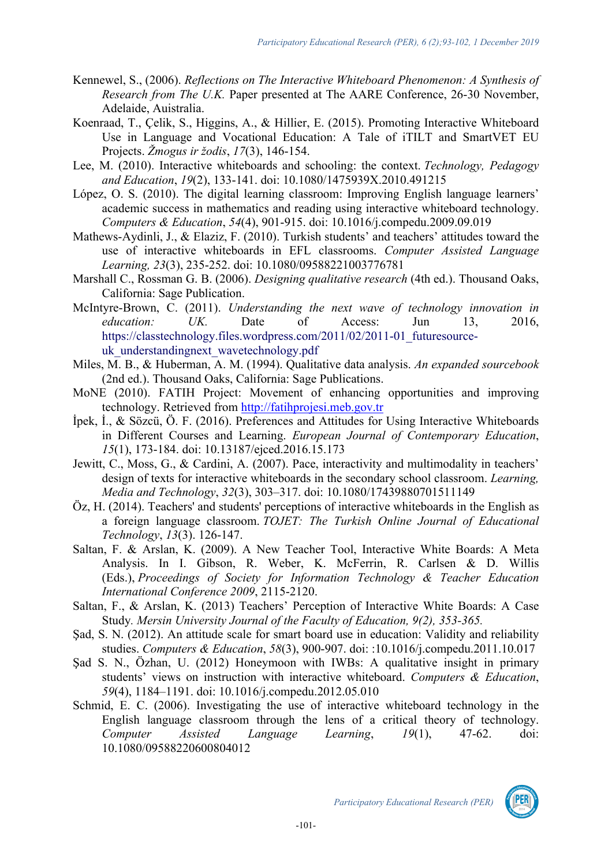- Kennewel, S., (2006). *Reflections on The Interactive Whiteboard Phenomenon: A Synthesis of Research from The U.K.* Paper presented at The AARE Conference, 26-30 November, Adelaide, Auistralia.
- Koenraad, T., Çelik, S., Higgins, A., & Hillier, E. (2015). Promoting Interactive Whiteboard Use in Language and Vocational Education: A Tale of iTILT and SmartVET EU Projects. *Žmogus ir žodis*, *17*(3), 146-154.
- Lee, M. (2010). Interactive whiteboards and schooling: the context. *Technology, Pedagogy and Education*, *19*(2), 133-141. doi: 10.1080/1475939X.2010.491215
- López, O. S. (2010). The digital learning classroom: Improving English language learners' academic success in mathematics and reading using interactive whiteboard technology. *Computers & Education*, *54*(4), 901-915. doi: 10.1016/j.compedu.2009.09.019
- Mathews-Aydinli, J., & Elaziz, F. (2010). Turkish students' and teachers' attitudes toward the use of interactive whiteboards in EFL classrooms. *Computer Assisted Language Learning, 23*(3), 235-252. doi: 10.1080/09588221003776781
- Marshall C., Rossman G. B. (2006). *Designing qualitative research* (4th ed.). Thousand Oaks, California: Sage Publication.
- McIntyre-Brown, C. (2011). *Understanding the next wave of technology innovation in education: UK.* Date of Access: Jun 13, 2016, https://classtechnology.files.wordpress.com/2011/02/2011-01\_futuresourceuk understandingnext wavetechnology.pdf
- Miles, M. B., & Huberman, A. M. (1994). Qualitative data analysis. *An expanded sourcebook*  (2nd ed.). Thousand Oaks, California: Sage Publications.
- MoNE (2010). FATIH Project: Movement of enhancing opportunities and improving technology. Retrieved from http://fatihprojesi.meb.gov.tr
- İpek, İ., & Sözcü, Ö. F. (2016). Preferences and Attitudes for Using Interactive Whiteboards in Different Courses and Learning. *European Journal of Contemporary Education*, *15*(1), 173-184. doi: 10.13187/ejced.2016.15.173
- Jewitt, C., Moss, G., & Cardini, A. (2007). Pace, interactivity and multimodality in teachers' design of texts for interactive whiteboards in the secondary school classroom. *Learning, Media and Technology*, *32*(3), 303–317. doi: 10.1080/17439880701511149
- Öz, H. (2014). Teachers' and students' perceptions of interactive whiteboards in the English as a foreign language classroom. *TOJET: The Turkish Online Journal of Educational Technology*, *13*(3). 126-147.
- Saltan, F. & Arslan, K. (2009). A New Teacher Tool, Interactive White Boards: A Meta Analysis. In I. Gibson, R. Weber, K. McFerrin, R. Carlsen & D. Willis (Eds.), *Proceedings of Society for Information Technology & Teacher Education International Conference 2009*, 2115-2120.
- Saltan, F., & Arslan, K. (2013) Teachers' Perception of Interactive White Boards: A Case Study*. Mersin University Journal of the Faculty of Education, 9(2), 353-365.*
- Şad, S. N. (2012). An attitude scale for smart board use in education: Validity and reliability studies. *Computers & Education*, *58*(3), 900-907. doi: :10.1016/j.compedu.2011.10.017
- Sad S. N., Özhan, U. (2012) Honeymoon with IWBs: A qualitative insight in primary students' views on instruction with interactive whiteboard. *Computers & Education*, *59*(4), 1184–1191. doi: 10.1016/j.compedu.2012.05.010
- Schmid, E. C. (2006). Investigating the use of interactive whiteboard technology in the English language classroom through the lens of a critical theory of technology. *Computer Assisted Language Learning*, *19*(1), 47-62. doi: 10.1080/09588220600804012